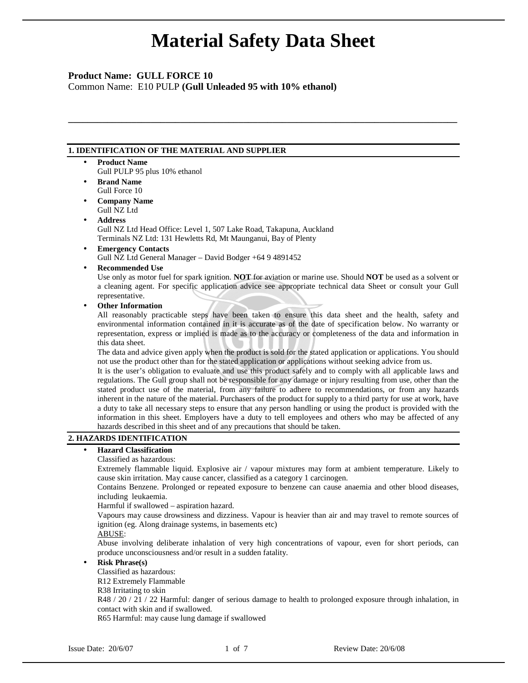**\_\_\_\_\_\_\_\_\_\_\_\_\_\_\_\_\_\_\_\_\_\_\_\_\_\_\_\_\_\_\_\_\_\_\_\_\_\_\_\_\_\_\_\_\_\_\_\_\_\_\_\_\_\_\_\_\_\_\_\_\_\_\_\_\_\_\_\_\_\_\_\_\_\_\_\_\_\_\_\_** 

# **Product Name: GULL FORCE 10**

Common Name: E10 PULP **(Gull Unleaded 95 with 10% ethanol)** 

## **1. IDENTIFICATION OF THE MATERIAL AND SUPPLIER**

- **Product Name** 
	- Gull PULP 95 plus 10% ethanol
- **Brand Name**  Gull Force 10
- **Company Name**  Gull NZ Ltd
- **Address**

Gull NZ Ltd Head Office: Level 1, 507 Lake Road, Takapuna, Auckland Terminals NZ Ltd: 131 Hewletts Rd, Mt Maunganui, Bay of Plenty

• **Emergency Contacts**

Gull NZ Ltd General Manager – David Bodger +64 9 4891452

• **Recommended Use** 

Use only as motor fuel for spark ignition. **NOT** for aviation or marine use. Should **NOT** be used as a solvent or a cleaning agent. For specific application advice see appropriate technical data Sheet or consult your Gull representative.

• **Other Information**

All reasonably practicable steps have been taken to ensure this data sheet and the health, safety and environmental information contained in it is accurate as of the date of specification below. No warranty or representation, express or implied is made as to the accuracy or completeness of the data and information in this data sheet.

The data and advice given apply when the product is sold for the stated application or applications. You should not use the product other than for the stated application or applications without seeking advice from us.

It is the user's obligation to evaluate and use this product safely and to comply with all applicable laws and regulations. The Gull group shall not be responsible for any damage or injury resulting from use, other than the stated product use of the material, from any failure to adhere to recommendations, or from any hazards inherent in the nature of the material. Purchasers of the product for supply to a third party for use at work, have a duty to take all necessary steps to ensure that any person handling or using the product is provided with the information in this sheet. Employers have a duty to tell employees and others who may be affected of any hazards described in this sheet and of any precautions that should be taken.

## **2. HAZARDS IDENTIFICATION**

# • **Hazard Classification**

### Classified as hazardous:

Extremely flammable liquid. Explosive air / vapour mixtures may form at ambient temperature. Likely to cause skin irritation. May cause cancer, classified as a category 1 carcinogen.

Contains Benzene. Prolonged or repeated exposure to benzene can cause anaemia and other blood diseases, including leukaemia.

Harmful if swallowed – aspiration hazard.

Vapours may cause drowsiness and dizziness. Vapour is heavier than air and may travel to remote sources of ignition (eg. Along drainage systems, in basements etc)

ABUSE:

Abuse involving deliberate inhalation of very high concentrations of vapour, even for short periods, can produce unconsciousness and/or result in a sudden fatality.

### • **Risk Phrase(s)**

Classified as hazardous:

R12 Extremely Flammable

R38 Irritating to skin

R48 / 20 / 21 / 22 Harmful: danger of serious damage to health to prolonged exposure through inhalation, in contact with skin and if swallowed.

R65 Harmful: may cause lung damage if swallowed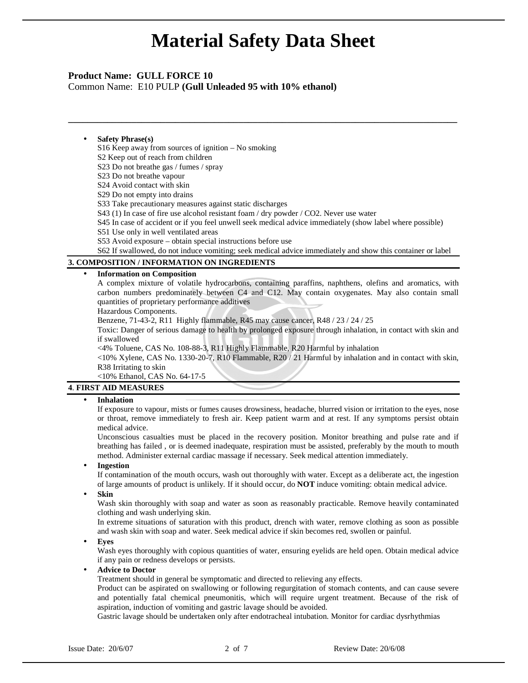**\_\_\_\_\_\_\_\_\_\_\_\_\_\_\_\_\_\_\_\_\_\_\_\_\_\_\_\_\_\_\_\_\_\_\_\_\_\_\_\_\_\_\_\_\_\_\_\_\_\_\_\_\_\_\_\_\_\_\_\_\_\_\_\_\_\_\_\_\_\_\_\_\_\_\_\_\_\_\_\_** 

## **Product Name: GULL FORCE 10**

Common Name: E10 PULP **(Gull Unleaded 95 with 10% ethanol)** 

#### • **Safety Phrase(s)**

S16 Keep away from sources of ignition – No smoking

S2 Keep out of reach from children

S23 Do not breathe gas / fumes / spray

S23 Do not breathe vapour

S24 Avoid contact with skin

S29 Do not empty into drains

S33 Take precautionary measures against static discharges

S43 (1) In case of fire use alcohol resistant foam / dry powder / CO2. Never use water

S45 In case of accident or if you feel unwell seek medical advice immediately (show label where possible)

S51 Use only in well ventilated areas

S53 Avoid exposure – obtain special instructions before use

S62 If swallowed, do not induce vomiting; seek medical advice immediately and show this container or label

## **3. COMPOSITION / INFORMATION ON INGREDIENTS**

### • **Information on Composition**

A complex mixture of volatile hydrocarbons, containing paraffins, naphthens, olefins and aromatics, with carbon numbers predominately between C4 and C12. May contain oxygenates. May also contain small quantities of proprietary performance additives

Hazardous Components.

Benzene, 71-43-2, R11 Highly flammable, R45 may cause cancer, R48 / 23 / 24 / 25

Toxic: Danger of serious damage to health by prolonged exposure through inhalation, in contact with skin and if swallowed

<4% Toluene, CAS No. 108-88-3, R11 Highly Flammable, R20 Harmful by inhalation

<10% Xylene, CAS No. 1330-20-7, R10 Flammable, R20 / 21 Harmful by inhalation and in contact with skin, R38 Irritating to skin

<10% Ethanol, CAS No. 64-17-5

# **4**. **FIRST AID MEASURES**

### • **Inhalation**

If exposure to vapour, mists or fumes causes drowsiness, headache, blurred vision or irritation to the eyes, nose or throat, remove immediately to fresh air. Keep patient warm and at rest. If any symptoms persist obtain medical advice.

Unconscious casualties must be placed in the recovery position. Monitor breathing and pulse rate and if breathing has failed , or is deemed inadequate, respiration must be assisted, preferably by the mouth to mouth method. Administer external cardiac massage if necessary. Seek medical attention immediately.

### • **Ingestion**

If contamination of the mouth occurs, wash out thoroughly with water. Except as a deliberate act, the ingestion of large amounts of product is unlikely. If it should occur, do **NOT** induce vomiting: obtain medical advice.

• **Skin**

Wash skin thoroughly with soap and water as soon as reasonably practicable. Remove heavily contaminated clothing and wash underlying skin.

In extreme situations of saturation with this product, drench with water, remove clothing as soon as possible and wash skin with soap and water. Seek medical advice if skin becomes red, swollen or painful.

• **Eyes** 

Wash eyes thoroughly with copious quantities of water, ensuring eyelids are held open. Obtain medical advice if any pain or redness develops or persists.

• **Advice to Doctor**

Treatment should in general be symptomatic and directed to relieving any effects.

Product can be aspirated on swallowing or following regurgitation of stomach contents, and can cause severe and potentially fatal chemical pneumonitis, which will require urgent treatment. Because of the risk of aspiration, induction of vomiting and gastric lavage should be avoided.

Gastric lavage should be undertaken only after endotracheal intubation. Monitor for cardiac dysrhythmias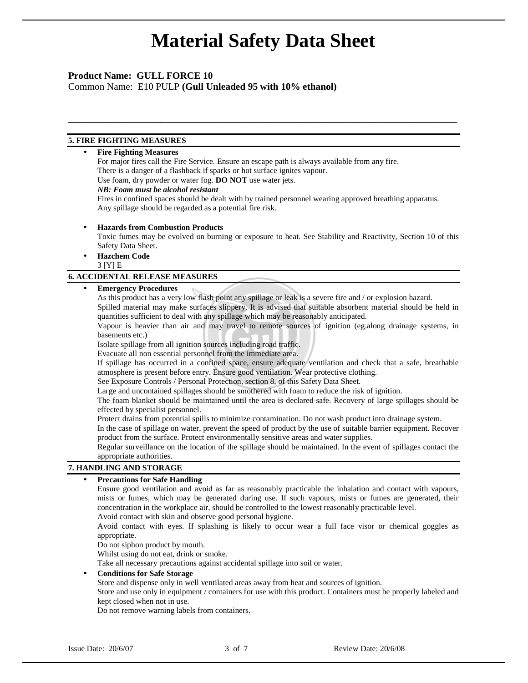**\_\_\_\_\_\_\_\_\_\_\_\_\_\_\_\_\_\_\_\_\_\_\_\_\_\_\_\_\_\_\_\_\_\_\_\_\_\_\_\_\_\_\_\_\_\_\_\_\_\_\_\_\_\_\_\_\_\_\_\_\_\_\_\_\_\_\_\_\_\_\_\_\_\_\_\_\_\_\_\_** 

## **Product Name: GULL FORCE 10**

Common Name: E10 PULP **(Gull Unleaded 95 with 10% ethanol)** 

## **5. FIRE FIGHTING MEASURES**

## • **Fire Fighting Measures**

For major fires call the Fire Service. Ensure an escape path is always available from any fire. There is a danger of a flashback if sparks or hot surface ignites vapour. Use foam, dry powder or water fog. **DO NOT** use water jets.

## *NB: Foam must be alcohol resistant*

Fires in confined spaces should be dealt with by trained personnel wearing approved breathing apparatus. Any spillage should be regarded as a potential fire risk.

• **Hazards from Combustion Products**

Toxic fumes may be evolved on burning or exposure to heat. See Stability and Reactivity, Section 10 of this Safety Data Sheet.

• **Hazchem Code**  3 [Y] E

### **6. ACCIDENTAL RELEASE MEASURES**

### • **Emergency Procedures**

As this product has a very low flash point any spillage or leak is a severe fire and / or explosion hazard.

Spilled material may make surfaces slippery. It is advised that suitable absorbent material should be held in quantities sufficient to deal with any spillage which may be reasonably anticipated.

Vapour is heavier than air and may travel to remote sources of ignition (eg.along drainage systems, in basements etc.)

Isolate spillage from all ignition sources including road traffic.

Evacuate all non essential personnel from the immediate area.

If spillage has occurred in a confined space, ensure adequate ventilation and check that a safe, breathable atmosphere is present before entry. Ensure good ventilation. Wear protective clothing.

See Exposure Controls / Personal Protection, section 8, of this Safety Data Sheet.

Large and uncontained spillages should be smothered with foam to reduce the risk of ignition.

The foam blanket should be maintained until the area is declared safe. Recovery of large spillages should be effected by specialist personnel.

Protect drains from potential spills to minimize contamination. Do not wash product into drainage system.

In the case of spillage on water, prevent the speed of product by the use of suitable barrier equipment. Recover product from the surface. Protect environmentally sensitive areas and water supplies.

Regular surveillance on the location of the spillage should be maintained. In the event of spillages contact the appropriate authorities.

## **7. HANDLING AND STORAGE**

### • **Precautions for Safe Handling**

Ensure good ventilation and avoid as far as reasonably practicable the inhalation and contact with vapours, mists or fumes, which may be generated during use. If such vapours, mists or fumes are generated, their concentration in the workplace air, should be controlled to the lowest reasonably practicable level.

Avoid contact with skin and observe good personal hygiene.

Avoid contact with eyes. If splashing is likely to occur wear a full face visor or chemical goggles as appropriate.

Do not siphon product by mouth.

Whilst using do not eat, drink or smoke.

Take all necessary precautions against accidental spillage into soil or water.

• **Conditions for Safe Storage**

Store and dispense only in well ventilated areas away from heat and sources of ignition.

Store and use only in equipment / containers for use with this product. Containers must be properly labeled and kept closed when not in use.

Do not remove warning labels from containers.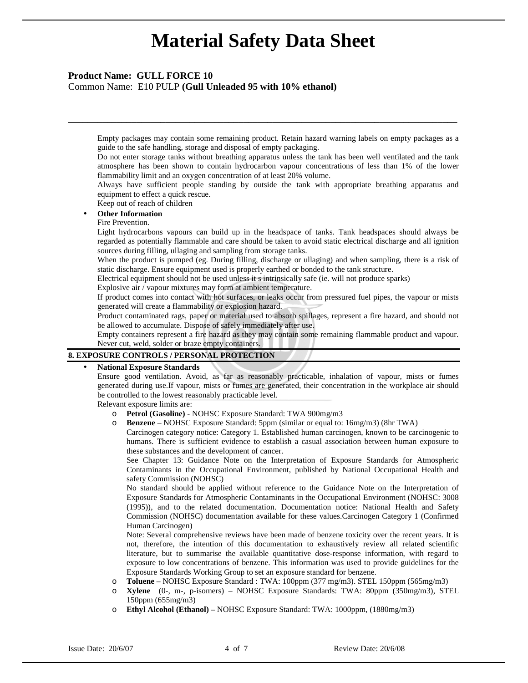**\_\_\_\_\_\_\_\_\_\_\_\_\_\_\_\_\_\_\_\_\_\_\_\_\_\_\_\_\_\_\_\_\_\_\_\_\_\_\_\_\_\_\_\_\_\_\_\_\_\_\_\_\_\_\_\_\_\_\_\_\_\_\_\_\_\_\_\_\_\_\_\_\_\_\_\_\_\_\_\_** 

## **Product Name: GULL FORCE 10**

Common Name: E10 PULP **(Gull Unleaded 95 with 10% ethanol)** 

Empty packages may contain some remaining product. Retain hazard warning labels on empty packages as a guide to the safe handling, storage and disposal of empty packaging.

Do not enter storage tanks without breathing apparatus unless the tank has been well ventilated and the tank atmosphere has been shown to contain hydrocarbon vapour concentrations of less than 1% of the lower flammability limit and an oxygen concentration of at least 20% volume.

Always have sufficient people standing by outside the tank with appropriate breathing apparatus and equipment to effect a quick rescue.

Keep out of reach of children

# • **Other Information**

## Fire Prevention.

Light hydrocarbons vapours can build up in the headspace of tanks. Tank headspaces should always be regarded as potentially flammable and care should be taken to avoid static electrical discharge and all ignition sources during filling, ullaging and sampling from storage tanks.

When the product is pumped (eg. During filling, discharge or ullaging) and when sampling, there is a risk of static discharge. Ensure equipment used is properly earthed or bonded to the tank structure.

Electrical equipment should not be used unless it s intrinsically safe (ie. will not produce sparks)

Explosive air / vapour mixtures may form at ambient temperature.

If product comes into contact with hot surfaces, or leaks occur from pressured fuel pipes, the vapour or mists generated will create a flammability or explosion hazard.

Product contaminated rags, paper or material used to absorb spillages, represent a fire hazard, and should not be allowed to accumulate. Dispose of safely immediately after use.

Empty containers represent a fire hazard as they may contain some remaining flammable product and vapour. Never cut, weld, solder or braze empty containers.

## **8. EXPOSURE CONTROLS / PERSONAL PROTECTION**

### • **National Exposure Standards**

Ensure good ventilation. Avoid, as far as reasonably practicable, inhalation of vapour, mists or fumes generated during use.If vapour, mists or fumes are generated, their concentration in the workplace air should be controlled to the lowest reasonably practicable level.

Relevant exposure limits are:

- o **Petrol (Gasoline)** NOHSC Exposure Standard: TWA 900mg/m3
	- **Benzene** NOHSC Exposure Standard: 5ppm (similar or equal to: 16mg/m3) (8hr TWA)

Carcinogen category notice: Category 1. Established human carcinogen, known to be carcinogenic to humans. There is sufficient evidence to establish a casual association between human exposure to these substances and the development of cancer.

See Chapter 13: Guidance Note on the Interpretation of Exposure Standards for Atmospheric Contaminants in the Occupational Environment, published by National Occupational Health and safety Commission (NOHSC)

No standard should be applied without reference to the Guidance Note on the Interpretation of Exposure Standards for Atmospheric Contaminants in the Occupational Environment (NOHSC: 3008 (1995)), and to the related documentation. Documentation notice: National Health and Safety Commission (NOHSC) documentation available for these values.Carcinogen Category 1 (Confirmed Human Carcinogen)

Note: Several comprehensive reviews have been made of benzene toxicity over the recent years. It is not, therefore, the intention of this documentation to exhaustively review all related scientific literature, but to summarise the available quantitative dose-response information, with regard to exposure to low concentrations of benzene. This information was used to provide guidelines for the Exposure Standards Working Group to set an exposure standard for benzene.

- o **Toluene** NOHSC Exposure Standard : TWA: 100ppm (377 mg/m3). STEL 150ppm (565mg/m3)
- o **Xylene** (0-, m-, p-isomers) NOHSC Exposure Standards: TWA: 80ppm (350mg/m3), STEL 150ppm (655mg/m3)
- o **Ethyl Alcohol (Ethanol)** NOHSC Exposure Standard: TWA: 1000ppm, (1880mg/m3)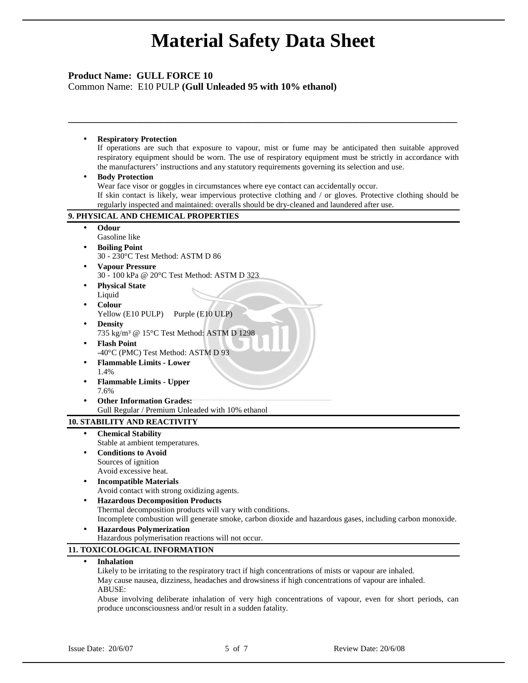**\_\_\_\_\_\_\_\_\_\_\_\_\_\_\_\_\_\_\_\_\_\_\_\_\_\_\_\_\_\_\_\_\_\_\_\_\_\_\_\_\_\_\_\_\_\_\_\_\_\_\_\_\_\_\_\_\_\_\_\_\_\_\_\_\_\_\_\_\_\_\_\_\_\_\_\_\_\_\_\_** 

# **Product Name: GULL FORCE 10**

Common Name: E10 PULP **(Gull Unleaded 95 with 10% ethanol)** 

## • **Respiratory Protection**

If operations are such that exposure to vapour, mist or fume may be anticipated then suitable approved respiratory equipment should be worn. The use of respiratory equipment must be strictly in accordance with the manufacturers' instructions and any statutory requirements governing its selection and use.

### • **Body Protection**

Wear face visor or goggles in circumstances where eye contact can accidentally occur.

If skin contact is likely, wear impervious protective clothing and / or gloves. Protective clothing should be regularly inspected and maintained: overalls should be dry-cleaned and laundered after use.

## **9. PHYSICAL AND CHEMICAL PROPERTIES**

- **Odour**
- Gasoline like
- **Boiling Point** 30 - 230°C Test Method: ASTM D 86
- **Vapour Pressure** 30 - 100 kPa @ 20°C Test Method: ASTM D 323
- **Physical State** Liquid
- **Colour**
- Yellow (E10 PULP) Purple (E10 ULP)
- **Density** 735 kg/m³ @ 15°C Test Method: ASTM D 1298
- **Flash Point** -40°C (PMC) Test Method: ASTM D 93
- **Flammable Limits Lower**  1.4%
- **Flammable Limits Upper**  7.6%
- **Other Information Grades:** Gull Regular / Premium Unleaded with 10% ethanol

## **10. STABILITY AND REACTIVITY**

- **Chemical Stability**  Stable at ambient temperatures. • **Conditions to Avoid**
- Sources of ignition Avoid excessive heat.
- **Incompatible Materials** 
	- Avoid contact with strong oxidizing agents.
- **Hazardous Decomposition Products** Thermal decomposition products will vary with conditions. Incomplete combustion will generate smoke, carbon dioxide and hazardous gases, including carbon monoxide.
- **Hazardous Polymerization** Hazardous polymerisation reactions will not occur.

## **11. TOXICOLOGICAL INFORMATION**

• **Inhalation**

Likely to be irritating to the respiratory tract if high concentrations of mists or vapour are inhaled. May cause nausea, dizziness, headaches and drowsiness if high concentrations of vapour are inhaled. ABUSE:

Abuse involving deliberate inhalation of very high concentrations of vapour, even for short periods, can produce unconsciousness and/or result in a sudden fatality.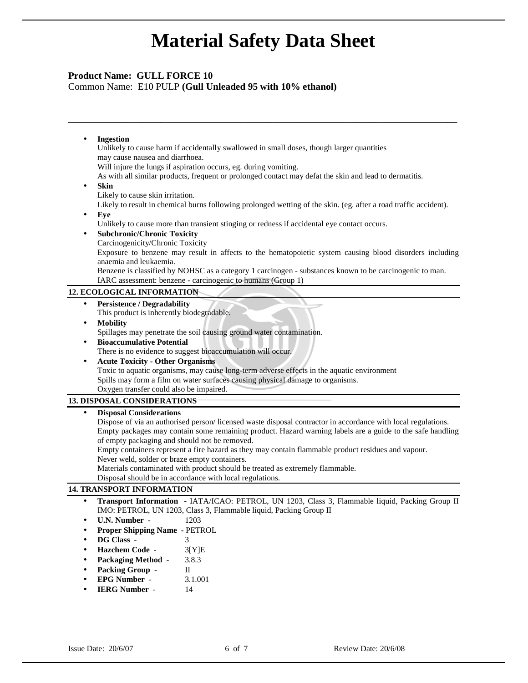**\_\_\_\_\_\_\_\_\_\_\_\_\_\_\_\_\_\_\_\_\_\_\_\_\_\_\_\_\_\_\_\_\_\_\_\_\_\_\_\_\_\_\_\_\_\_\_\_\_\_\_\_\_\_\_\_\_\_\_\_\_\_\_\_\_\_\_\_\_\_\_\_\_\_\_\_\_\_\_\_** 

# **Product Name: GULL FORCE 10**

Common Name: E10 PULP **(Gull Unleaded 95 with 10% ethanol)** 

• **Ingestion** Unlikely to cause harm if accidentally swallowed in small doses, though larger quantities may cause nausea and diarrhoea. Will injure the lungs if aspiration occurs, eg. during vomiting. As with all similar products, frequent or prolonged contact may defat the skin and lead to dermatitis. • **Skin** Likely to cause skin irritation. Likely to result in chemical burns following prolonged wetting of the skin. (eg. after a road traffic accident). • **Eye** Unlikely to cause more than transient stinging or redness if accidental eye contact occurs. • **Subchronic/Chronic Toxicity**  Carcinogenicity/Chronic Toxicity Exposure to benzene may result in affects to the hematopoietic system causing blood disorders including

Benzene is classified by NOHSC as a category 1 carcinogen - substances known to be carcinogenic to man.

IARC assessment: benzene - carcinogenic to humans (Group 1)

# **12. ECOLOGICAL INFORMATION**

anaemia and leukaemia.

- **Persistence / Degradability**
- This product is inherently biodegradable.
- **Mobility**
- Spillages may penetrate the soil causing ground water contamination. • **Bioaccumulative Potential**
- There is no evidence to suggest bioaccumulation will occur.
- **Acute Toxicity Other Organisms**

Toxic to aquatic organisms, may cause long-term adverse effects in the aquatic environment Spills may form a film on water surfaces causing physical damage to organisms. Oxygen transfer could also be impaired.

## **13. DISPOSAL CONSIDERATIONS**

## • **Disposal Considerations**

Dispose of via an authorised person/ licensed waste disposal contractor in accordance with local regulations. Empty packages may contain some remaining product. Hazard warning labels are a guide to the safe handling of empty packaging and should not be removed.

Empty containers represent a fire hazard as they may contain flammable product residues and vapour. Never weld, solder or braze empty containers.

Materials contaminated with product should be treated as extremely flammable.

Disposal should be in accordance with local regulations.

## **14. TRANSPORT INFORMATION**

- **Transport Information** IATA/ICAO: PETROL, UN 1203, Class 3, Flammable liquid, Packing Group II IMO: PETROL, UN 1203, Class 3, Flammable liquid, Packing Group II
- **U.N. Number** 1203
- **Proper Shipping Name** PETROL
- **DG Class** 3
- **Hazchem Code** 3[Y]E
- **Packaging Method** 3.8.3
- Packing Group II
- **EPG Number** 3.1.001
- **IERG Number**  14